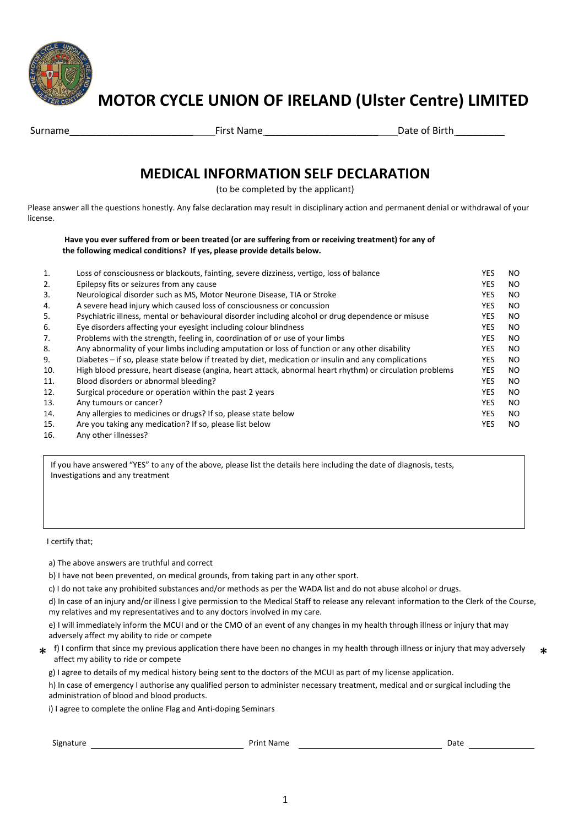

# **MOTOR CYCLE UNION OF IRELAND (Ulster Centre) LIMITED**

| Surname | <b>First Name</b> | Date of Birth |
|---------|-------------------|---------------|

## **MEDICAL INFORMATION SELF DECLARATION**

(to be completed by the applicant)

Please answer all the questions honestly. Any false declaration may result in disciplinary action and permanent denial or withdrawal of your license.

**Have you ever suffered from or been treated (or are suffering from or receiving treatment) for any of the following medical conditions? If yes, please provide details below.** 

| 1.  | Loss of consciousness or blackouts, fainting, severe dizziness, vertigo, loss of balance                 | YES.       | NO. |
|-----|----------------------------------------------------------------------------------------------------------|------------|-----|
| 2.  | Epilepsy fits or seizures from any cause                                                                 | <b>YES</b> | NO. |
| 3.  | Neurological disorder such as MS, Motor Neurone Disease, TIA or Stroke                                   | <b>YES</b> | NO. |
| 4.  | A severe head injury which caused loss of consciousness or concussion                                    | <b>YES</b> | NO. |
| 5.  | Psychiatric illness, mental or behavioural disorder including alcohol or drug dependence or misuse       | <b>YES</b> | NO. |
| 6.  | Eye disorders affecting your eyesight including colour blindness                                         | <b>YES</b> | NO. |
| 7.  | Problems with the strength, feeling in, coordination of or use of your limbs                             | <b>YES</b> | NO. |
| 8.  | Any abnormality of your limbs including amputation or loss of function or any other disability           | <b>YES</b> | NO. |
| 9.  | Diabetes – if so, please state below if treated by diet, medication or insulin and any complications     | <b>YES</b> | NO. |
| 10. | High blood pressure, heart disease (angina, heart attack, abnormal heart rhythm) or circulation problems | YES.       | NO. |
| 11. | Blood disorders or abnormal bleeding?                                                                    | <b>YES</b> | NO. |
| 12. | Surgical procedure or operation within the past 2 years                                                  | <b>YES</b> | NO. |
| 13. | Any tumours or cancer?                                                                                   | <b>YES</b> | NO. |
| 14. | Any allergies to medicines or drugs? If so, please state below                                           | <b>YES</b> | NO. |
| 15. | Are you taking any medication? If so, please list below                                                  | <b>YES</b> | NO. |
| 16. | Any other illnesses?                                                                                     |            |     |

If you have answered "YES" to any of the above, please list the details here including the date of diagnosis, tests, Investigations and any treatment

I certify that;

a) The above answers are truthful and correct

b) I have not been prevented, on medical grounds, from taking part in any other sport.

c) I do not take any prohibited substances and/or methods as per the WADA list and do not abuse alcohol or drugs.

d) In case of an injury and/or illness I give permission to the Medical Staff to release any relevant information to the Clerk of the Course, my relatives and my representatives and to any doctors involved in my care.

e) I will immediately inform the MCUI and or the CMO of an event of any changes in my health through illness or injury that may adversely affect my ability to ride or compete

\* f) I confirm that since my previous application there have been no changes in my health through illness or injury that may adversely affect my ability to ride or compete \*

g) I agree to details of my medical history being sent to the doctors of the MCUI as part of my license application.

h) In case of emergency I authorise any qualified person to administer necessary treatment, medical and or surgical including the administration of blood and blood products.

i) I agree to complete the online Flag and Anti-doping Seminars

Signature **Contract Contract Contract Contract Contract Contract Contract Contract Contract Contract Contract Contract Contract Contract Contract Contract Contract Contract Contract Contract Contract Contract Contract Cont**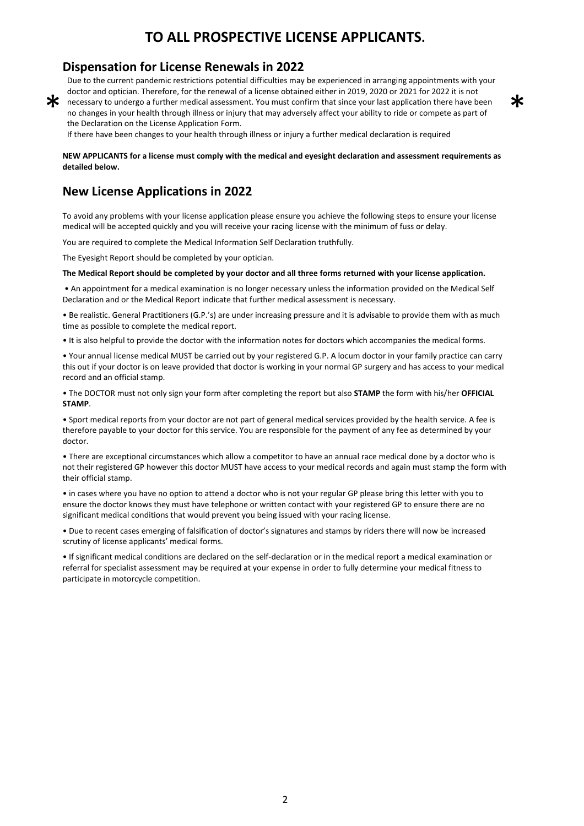## **TO ALL PROSPECTIVE LICENSE APPLICANTS.**

### **Dispensation for License Renewals in 2022**

Due to the current pandemic restrictions potential difficulties may be experienced in arranging appointments with your doctor and optician. Therefore, for the renewal of a license obtained either in 2019, 2020 or 2021 for 2022 it is not

 $\ast$ 

\* necessary to undergo a further medical assessment. You must confirm that since your last application there have been no changes in your health through illness or injury that may adversely affect your ability to ride or compete as part of the Declaration on the License Application Form.

If there have been changes to your health through illness or injury a further medical declaration is required

**NEW APPLICANTS for a license must comply with the medical and eyesight declaration and assessment requirements as detailed below.** 

### **New License Applications in 2022**

To avoid any problems with your license application please ensure you achieve the following steps to ensure your license medical will be accepted quickly and you will receive your racing license with the minimum of fuss or delay.

You are required to complete the Medical Information Self Declaration truthfully.

The Eyesight Report should be completed by your optician.

#### **The Medical Report should be completed by your doctor and all three forms returned with your license application.**

 • An appointment for a medical examination is no longer necessary unless the information provided on the Medical Self Declaration and or the Medical Report indicate that further medical assessment is necessary.

• Be realistic. General Practitioners (G.P.'s) are under increasing pressure and it is advisable to provide them with as much time as possible to complete the medical report.

• It is also helpful to provide the doctor with the information notes for doctors which accompanies the medical forms.

• Your annual license medical MUST be carried out by your registered G.P. A locum doctor in your family practice can carry this out if your doctor is on leave provided that doctor is working in your normal GP surgery and has access to your medical record and an official stamp.

• The DOCTOR must not only sign your form after completing the report but also **STAMP** the form with his/her **OFFICIAL STAMP**.

• Sport medical reports from your doctor are not part of general medical services provided by the health service. A fee is therefore payable to your doctor for this service. You are responsible for the payment of any fee as determined by your doctor.

• There are exceptional circumstances which allow a competitor to have an annual race medical done by a doctor who is not their registered GP however this doctor MUST have access to your medical records and again must stamp the form with their official stamp.

• in cases where you have no option to attend a doctor who is not your regular GP please bring this letter with you to ensure the doctor knows they must have telephone or written contact with your registered GP to ensure there are no significant medical conditions that would prevent you being issued with your racing license.

• Due to recent cases emerging of falsification of doctor's signatures and stamps by riders there will now be increased scrutiny of license applicants' medical forms.

• If significant medical conditions are declared on the self-declaration or in the medical report a medical examination or referral for specialist assessment may be required at your expense in order to fully determine your medical fitness to participate in motorcycle competition.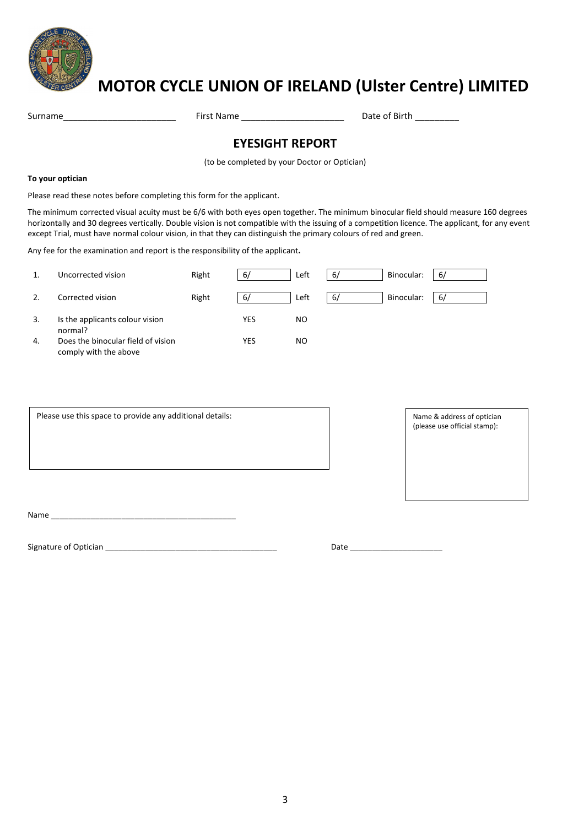

# **MOTOR CYCLE UNION OF IRELAND (Ulster Centre) LIMITED**

Surname\_\_\_\_\_\_\_\_\_\_\_\_\_\_\_\_\_\_\_\_\_\_\_ First Name \_\_\_\_\_\_\_\_\_\_\_\_\_\_\_\_\_\_\_\_\_ Date of Birth \_\_\_\_\_\_\_\_\_

### **EYESIGHT REPORT**

(to be completed by your Doctor or Optician)

#### **To your optician**

Please read these notes before completing this form for the applicant.

The minimum corrected visual acuity must be 6/6 with both eyes open together. The minimum binocular field should measure 160 degrees horizontally and 30 degrees vertically. Double vision is not compatible with the issuing of a competition licence. The applicant, for any event except Trial, must have normal colour vision, in that they can distinguish the primary colours of red and green.

Any fee for the examination and report is the responsibility of the applicant**.** 

|    | Uncorrected vision                                          | Right | 6/         | Left | 6/ | Binocular: | -67 |
|----|-------------------------------------------------------------|-------|------------|------|----|------------|-----|
| 2. | Corrected vision                                            | Right | 6/         | Left | 6/ | Binocular: | -67 |
| 3. | Is the applicants colour vision<br>normal?                  |       | <b>YES</b> | NO.  |    |            |     |
| 4. | Does the binocular field of vision<br>comply with the above |       | <b>YES</b> | NO.  |    |            |     |

Please use this space to provide any additional details: Name & address of optician

(please use official stamp):

Name was also as a set of  $\sim$ 

 $\overline{\phantom{a}}$ 

Signature of Optician **Example 2018** Signature of Optician **Example 2018**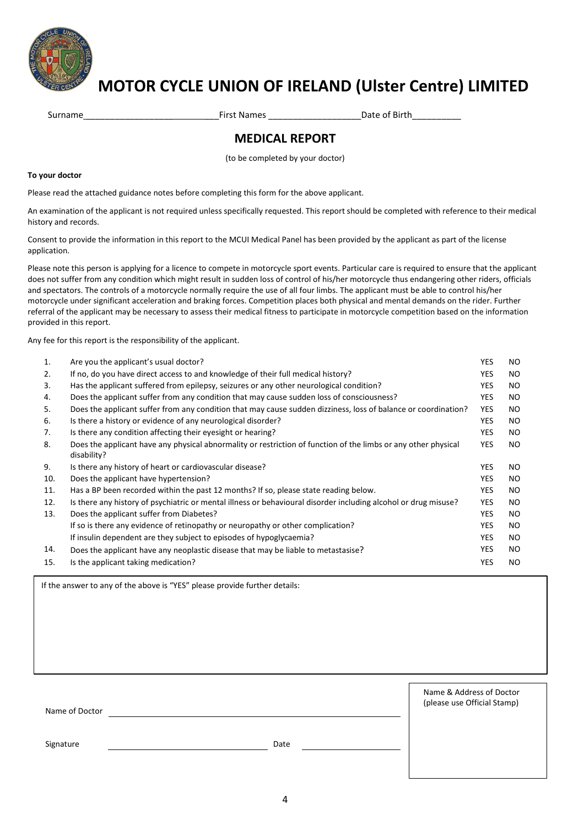

# **MOTOR CYCLE UNION OF IRELAND (Ulster Centre) LIMITED**

Surname \_\_\_\_\_\_\_\_\_\_\_\_\_\_\_\_\_\_ \_\_\_First Names \_\_\_\_\_\_\_\_\_\_\_\_\_\_\_\_\_\_\_Date of Birth\_\_\_\_\_\_\_\_\_\_

## **MEDICAL REPORT**

(to be completed by your doctor)

#### **To your doctor**

Please read the attached guidance notes before completing this form for the above applicant.

An examination of the applicant is not required unless specifically requested. This report should be completed with reference to their medical history and records.

Consent to provide the information in this report to the MCUI Medical Panel has been provided by the applicant as part of the license application.

Please note this person is applying for a licence to compete in motorcycle sport events. Particular care is required to ensure that the applicant does not suffer from any condition which might result in sudden loss of control of his/her motorcycle thus endangering other riders, officials and spectators. The controls of a motorcycle normally require the use of all four limbs. The applicant must be able to control his/her motorcycle under significant acceleration and braking forces. Competition places both physical and mental demands on the rider. Further referral of the applicant may be necessary to assess their medical fitness to participate in motorcycle competition based on the information provided in this report.

Any fee for this report is the responsibility of the applicant.

| 1.  | Are you the applicant's usual doctor?                                                                                         | <b>YES</b> | NO. |
|-----|-------------------------------------------------------------------------------------------------------------------------------|------------|-----|
| 2.  | If no, do you have direct access to and knowledge of their full medical history?                                              | <b>YES</b> | NO. |
| 3.  | Has the applicant suffered from epilepsy, seizures or any other neurological condition?                                       | <b>YES</b> | NO. |
| 4.  | Does the applicant suffer from any condition that may cause sudden loss of consciousness?                                     | <b>YES</b> | NO. |
| 5.  | Does the applicant suffer from any condition that may cause sudden dizziness, loss of balance or coordination?                | <b>YES</b> | NO. |
| 6.  | Is there a history or evidence of any neurological disorder?                                                                  | <b>YES</b> | NO. |
| 7.  | Is there any condition affecting their eyesight or hearing?                                                                   | <b>YES</b> | NO. |
| 8.  | Does the applicant have any physical abnormality or restriction of function of the limbs or any other physical<br>disability? | <b>YES</b> | NO. |
| 9.  | Is there any history of heart or cardiovascular disease?                                                                      | <b>YES</b> | NO. |
| 10. | Does the applicant have hypertension?                                                                                         | <b>YES</b> | NO. |
| 11. | Has a BP been recorded within the past 12 months? If so, please state reading below.                                          | <b>YES</b> | NO. |
| 12. | Is there any history of psychiatric or mental illness or behavioural disorder including alcohol or drug misuse?               | <b>YES</b> | NO. |
| 13. | Does the applicant suffer from Diabetes?                                                                                      | <b>YES</b> | NO. |
|     | If so is there any evidence of retinopathy or neuropathy or other complication?                                               | <b>YES</b> | NO. |
|     | If insulin dependent are they subject to episodes of hypoglycaemia?                                                           | <b>YES</b> | NO. |
| 14. | Does the applicant have any neoplastic disease that may be liable to metastasise?                                             | <b>YES</b> | NO. |
| 15. | Is the applicant taking medication?                                                                                           | <b>YES</b> | NO. |

If the answer to any of the above is "YES" please provide further details:

| Name of Doctor |      | Name & Address of Doctor<br>(please use Official Stamp) |  |  |
|----------------|------|---------------------------------------------------------|--|--|
| Signature      | Date |                                                         |  |  |